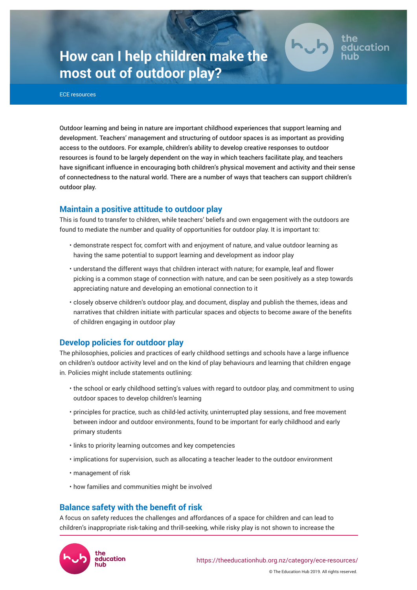# **How can I help children make the most out of outdoor play?**



ducation

ECE resources

Outdoor learning and being in nature are important childhood experiences that support learning and development. Teachers' management and structuring of outdoor spaces is as important as providing access to the outdoors. For example, children's ability to develop creative responses to outdoor resources is found to be largely dependent on the way in which teachers facilitate play, and teachers have significant influence in encouraging both children's physical movement and activity and their sense of connectedness to the natural world. There are a number of ways that teachers can support children's outdoor play.

## **Maintain a positive attitude to outdoor play**

This is found to transfer to children, while teachers' beliefs and own engagement with the outdoors are found to mediate the number and quality of opportunities for outdoor play. It is important to:

- demonstrate respect for, comfort with and enjoyment of nature, and value outdoor learning as having the same potential to support learning and development as indoor play
- understand the different ways that children interact with nature; for example, leaf and flower picking is a common stage of connection with nature, and can be seen positively as a step towards appreciating nature and developing an emotional connection to it
- closely observe children's outdoor play, and document, display and publish the themes, ideas and narratives that children initiate with particular spaces and objects to become aware of the benefits of children engaging in outdoor play

## **Develop policies for outdoor play**

The philosophies, policies and practices of early childhood settings and schools have a large influence on children's outdoor activity level and on the kind of play behaviours and learning that children engage in. Policies might include statements outlining:

- the school or early childhood setting's values with regard to outdoor play, and commitment to using outdoor spaces to develop children's learning
- principles for practice, such as child-led activity, uninterrupted play sessions, and free movement between indoor and outdoor environments, found to be important for early childhood and early primary students
- links to priority learning outcomes and key competencies
- implications for supervision, such as allocating a teacher leader to the outdoor environment
- management of risk
- how families and communities might be involved

## **Balance safety with the benefit of risk**

A focus on safety reduces the challenges and affordances of a space for children and can lead to children's inappropriate risk-taking and thrill-seeking, while risky play is not shown to increase the

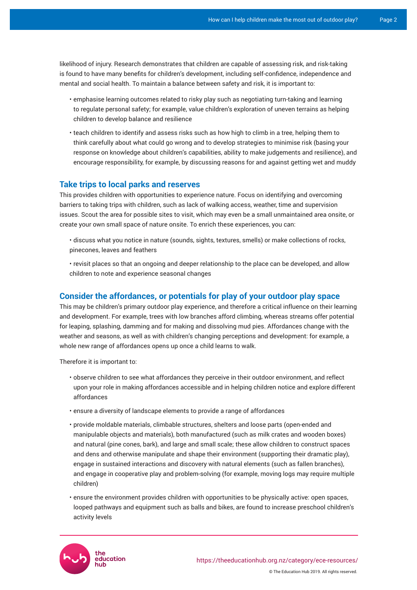likelihood of injury. Research demonstrates that children are capable of assessing risk, and risk-taking is found to have many benefits for children's development, including self-confidence, independence and mental and social health. To maintain a balance between safety and risk, it is important to:

- emphasise learning outcomes related to risky play such as negotiating turn-taking and learning to regulate personal safety; for example, value children's exploration of uneven terrains as helping children to develop balance and resilience
- teach children to identify and assess risks such as how high to climb in a tree, helping them to think carefully about what could go wrong and to develop strategies to minimise risk (basing your response on knowledge about children's capabilities, ability to make judgements and resilience), and encourage responsibility, for example, by discussing reasons for and against getting wet and muddy

## **Take trips to local parks and reserves**

This provides children with opportunities to experience nature. Focus on identifying and overcoming barriers to taking trips with children, such as lack of walking access, weather, time and supervision issues. Scout the area for possible sites to visit, which may even be a small unmaintained area onsite, or create your own small space of nature onsite. To enrich these experiences, you can:

• discuss what you notice in nature (sounds, sights, textures, smells) or make collections of rocks, pinecones, leaves and feathers

• revisit places so that an ongoing and deeper relationship to the place can be developed, and allow children to note and experience seasonal changes

### **Consider the affordances, or potentials for play of your outdoor play space**

This may be children's primary outdoor play experience, and therefore a critical influence on their learning and development. For example, trees with low branches afford climbing, whereas streams offer potential for leaping, splashing, damming and for making and dissolving mud pies. Affordances change with the weather and seasons, as well as with children's changing perceptions and development: for example, a whole new range of affordances opens up once a child learns to walk.

Therefore it is important to:

- observe children to see what affordances they perceive in their outdoor environment, and reflect upon your role in making affordances accessible and in helping children notice and explore different affordances
- ensure a diversity of landscape elements to provide a range of affordances
- provide moldable materials, climbable structures, shelters and loose parts (open-ended and manipulable objects and materials), both manufactured (such as milk crates and wooden boxes) and natural (pine cones, bark), and large and small scale; these allow children to construct spaces and dens and otherwise manipulate and shape their environment (supporting their dramatic play), engage in sustained interactions and discovery with natural elements (such as fallen branches), and engage in cooperative play and problem-solving (for example, moving logs may require multiple children)
- ensure the environment provides children with opportunities to be physically active: open spaces, looped pathways and equipment such as balls and bikes, are found to increase preschool children's activity levels

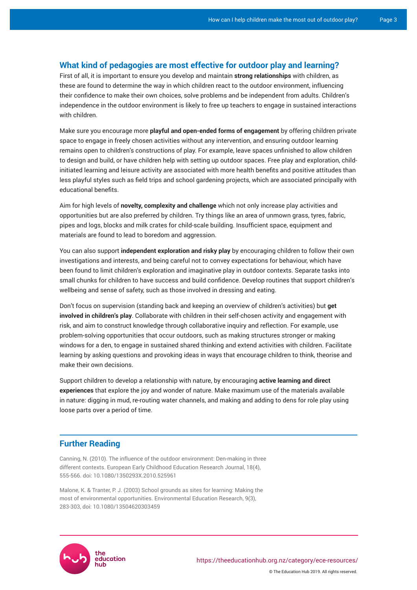#### **What kind of pedagogies are most effective for outdoor play and learning?**

First of all, it is important to ensure you develop and maintain **strong relationships** with children, as these are found to determine the way in which children react to the outdoor environment, influencing their confidence to make their own choices, solve problems and be independent from adults. Children's independence in the outdoor environment is likely to free up teachers to engage in sustained interactions with children.

Make sure you encourage more **playful and open-ended forms of engagement** by offering children private space to engage in freely chosen activities without any intervention, and ensuring outdoor learning remains open to children's constructions of play. For example, leave spaces unfinished to allow children to design and build, or have children help with setting up outdoor spaces. Free play and exploration, childinitiated learning and leisure activity are associated with more health benefits and positive attitudes than less playful styles such as field trips and school gardening projects, which are associated principally with educational benefits.

Aim for high levels of **novelty, complexity and challenge** which not only increase play activities and opportunities but are also preferred by children. Try things like an area of unmown grass, tyres, fabric, pipes and logs, blocks and milk crates for child-scale building. Insufficient space, equipment and materials are found to lead to boredom and aggression.

You can also support **independent exploration and risky play** by encouraging children to follow their own investigations and interests, and being careful not to convey expectations for behaviour, which have been found to limit children's exploration and imaginative play in outdoor contexts. Separate tasks into small chunks for children to have success and build confidence. Develop routines that support children's wellbeing and sense of safety, such as those involved in dressing and eating.

Don't focus on supervision (standing back and keeping an overview of children's activities) but **get involved in children's play**. Collaborate with children in their self-chosen activity and engagement with risk, and aim to construct knowledge through collaborative inquiry and reflection. For example, use problem-solving opportunities that occur outdoors, such as making structures stronger or making windows for a den, to engage in sustained shared thinking and extend activities with children. Facilitate learning by asking questions and provoking ideas in ways that encourage children to think, theorise and make their own decisions.

Support children to develop a relationship with nature, by encouraging **active learning and direct experiences** that explore the joy and wonder of nature. Make maximum use of the materials available in nature: digging in mud, re-routing water channels, and making and adding to dens for role play using loose parts over a period of time.

### **Further Reading**

Canning, N. (2010). The influence of the outdoor environment: Den-making in three different contexts. European Early Childhood Education Research Journal, 18(4), 555-566. doi: 10.1080/1350293X.2010.525961

Malone, K. & Tranter, P. J. (2003) School grounds as sites for learning: Making the most of environmental opportunities. Environmental Education Research, 9(3), 283-303, doi: 10.1080/13504620303459



© The Education Hub 2019. All rights reserved.